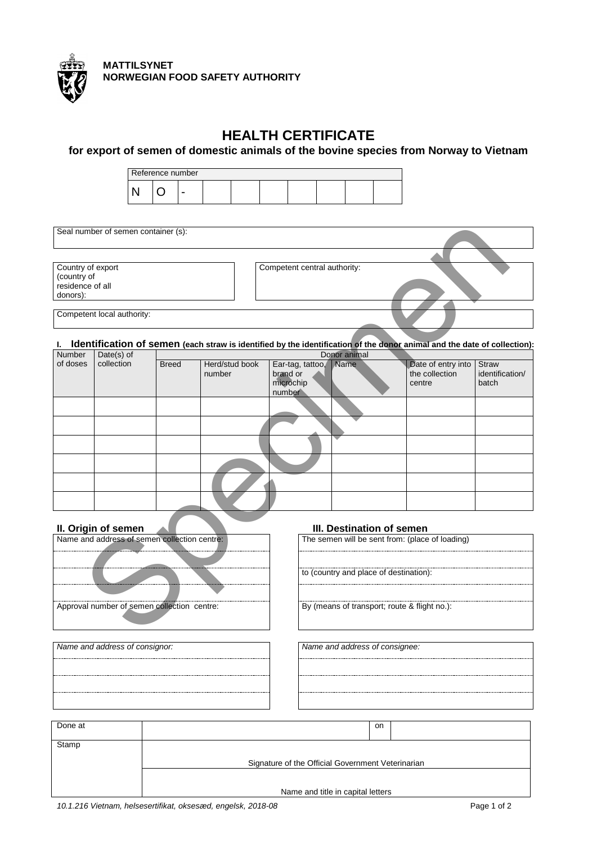

**MATTILSYNET NORWEGIAN FOOD SAFETY AUTHORITY**

# **HEALTH CERTIFICATE**

**for export of semen of domestic animals of the bovine species from Norway to Vietnam**

| Reference number |  |  |  |  |  |  |  |  |  |
|------------------|--|--|--|--|--|--|--|--|--|
|                  |  |  |  |  |  |  |  |  |  |

| Seal number of semen container (s):                              |                              |  |
|------------------------------------------------------------------|------------------------------|--|
|                                                                  |                              |  |
| Country of export<br>(country of<br>residence of all<br>donors): | Competent central authority: |  |
|                                                                  |                              |  |
| Competent local authority:                                       |                              |  |

### **I. Identification of semen (each straw is identified by the identification of the donor animal and the date of collection):**

|                                                                  | Seal number of semen container (s): |              |                          |                                                     |                           |                                                                                                                          |                                          |
|------------------------------------------------------------------|-------------------------------------|--------------|--------------------------|-----------------------------------------------------|---------------------------|--------------------------------------------------------------------------------------------------------------------------|------------------------------------------|
|                                                                  |                                     |              |                          |                                                     |                           |                                                                                                                          |                                          |
| Country of export<br>(country of<br>residence of all<br>donors): |                                     |              |                          | Competent central authority:                        |                           |                                                                                                                          |                                          |
|                                                                  | Competent local authority:          |              |                          |                                                     |                           |                                                                                                                          |                                          |
| L.                                                               |                                     |              |                          |                                                     |                           | Identification of semen (each straw is identified by the identification of the donor animal and the date of collection): |                                          |
| Number                                                           | Date(s) of                          |              |                          |                                                     | Donor animal              |                                                                                                                          |                                          |
| of doses                                                         | collection                          | <b>Breed</b> | Herd/stud book<br>number | Ear-tag, tattoo,<br>brand or<br>microchip<br>number | <b>Name</b>               | Date of entry into<br>the collection<br>centre                                                                           | <b>Straw</b><br>identification/<br>batch |
|                                                                  |                                     |              |                          |                                                     |                           |                                                                                                                          |                                          |
|                                                                  |                                     |              |                          |                                                     |                           |                                                                                                                          |                                          |
|                                                                  |                                     |              |                          |                                                     |                           |                                                                                                                          |                                          |
|                                                                  |                                     |              |                          |                                                     |                           |                                                                                                                          |                                          |
|                                                                  |                                     |              |                          |                                                     |                           |                                                                                                                          |                                          |
|                                                                  |                                     |              |                          |                                                     |                           |                                                                                                                          |                                          |
|                                                                  | II. Origin of semen                 |              |                          |                                                     | III. Destination of semen |                                                                                                                          |                                          |
| Name and address of semen collection centre:                     |                                     |              |                          | The semen will be sent from: (place of loading)     |                           |                                                                                                                          |                                          |
|                                                                  |                                     |              |                          |                                                     |                           |                                                                                                                          |                                          |
|                                                                  |                                     |              |                          | to (country and place of destination):              |                           |                                                                                                                          |                                          |
| Approval number of semen collection centre:                      |                                     |              |                          | By (means of transport; route & flight no.):        |                           |                                                                                                                          |                                          |
|                                                                  |                                     |              |                          |                                                     |                           |                                                                                                                          |                                          |



*Name and address of consignor: Name and address of consignee:*

| Name and address of consignor: |  |
|--------------------------------|--|
|                                |  |
|                                |  |
|                                |  |

| Done at | on                                                |  |  |
|---------|---------------------------------------------------|--|--|
|         |                                                   |  |  |
|         |                                                   |  |  |
| Stamp   |                                                   |  |  |
|         |                                                   |  |  |
|         | Signature of the Official Government Veterinarian |  |  |
|         |                                                   |  |  |
|         |                                                   |  |  |
|         |                                                   |  |  |
|         | Name and title in capital letters                 |  |  |